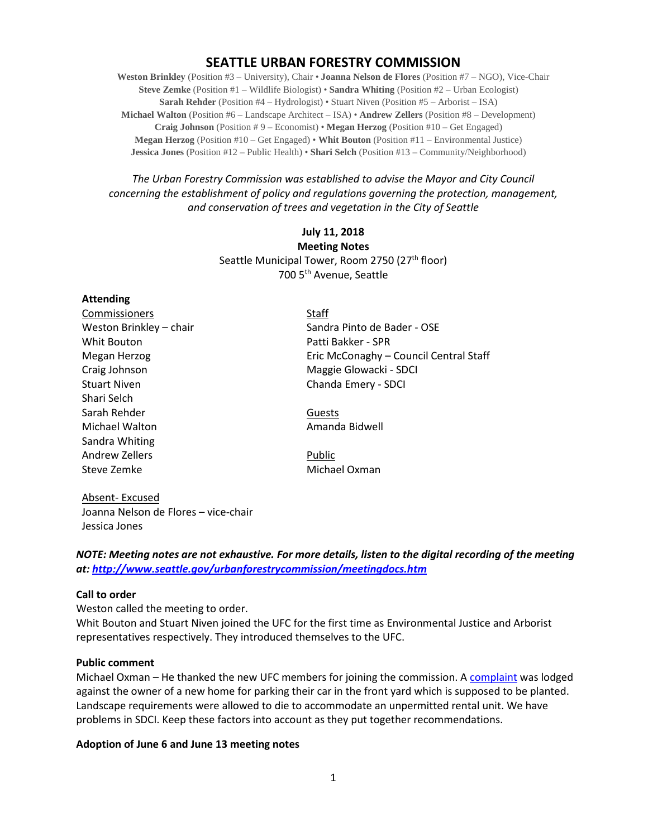# **SEATTLE URBAN FORESTRY COMMISSION**

**Weston Brinkley** (Position #3 – University), Chair • **Joanna Nelson de Flores** (Position #7 – NGO), Vice-Chair **Steve Zemke** (Position #1 – Wildlife Biologist) • **Sandra Whiting** (Position #2 – Urban Ecologist) **Sarah Rehder** (Position #4 – Hydrologist) • Stuart Niven (Position #5 – Arborist – ISA) **Michael Walton** (Position #6 – Landscape Architect – ISA) • **Andrew Zellers** (Position #8 – Development) **Craig Johnson** (Position # 9 – Economist) • **Megan Herzog** (Position #10 – Get Engaged) **Megan Herzog** (Position #10 – Get Engaged) • **Whit Bouton** (Position #11 – Environmental Justice) **Jessica Jones** (Position #12 – Public Health) • **Shari Selch** (Position #13 – Community/Neighborhood)

## *The Urban Forestry Commission was established to advise the Mayor and City Council concerning the establishment of policy and regulations governing the protection, management, and conservation of trees and vegetation in the City of Seattle*

## **July 11, 2018 Meeting Notes** Seattle Municipal Tower, Room 2750 (27<sup>th</sup> floor) 700 5th Avenue, Seattle

### **Attending**

| Commissioners           | <b>Staff</b>                           |
|-------------------------|----------------------------------------|
| Weston Brinkley - chair | Sandra Pinto de Bader - OSE            |
| Whit Bouton             | Patti Bakker - SPR                     |
| Megan Herzog            | Eric McConaghy - Council Central Staff |
| Craig Johnson           | Maggie Glowacki - SDCI                 |
| <b>Stuart Niven</b>     | Chanda Emery - SDCI                    |
| Shari Selch             |                                        |
| Sarah Rehder            | Guests                                 |
| Michael Walton          | Amanda Bidwell                         |
| Sandra Whiting          |                                        |
| Andrew Zellers          | Public                                 |
| Steve Zemke             | Michael Oxman                          |
|                         |                                        |

Absent- Excused Joanna Nelson de Flores – vice-chair Jessica Jones

*NOTE: Meeting notes are not exhaustive. For more details, listen to the digital recording of the meeting at:<http://www.seattle.gov/urbanforestrycommission/meetingdocs.htm>*

### **Call to order**

Weston called the meeting to order.

Whit Bouton and Stuart Niven joined the UFC for the first time as Environmental Justice and Arborist representatives respectively. They introduced themselves to the UFC.

### **Public comment**

Michael Oxman – He thanked the new UFC members for joining the commission. A [complaint](http://www.seattle.gov/urbanforestrycommission/meetingdocs.htm) was lodged against the owner of a new home for parking their car in the front yard which is supposed to be planted. Landscape requirements were allowed to die to accommodate an unpermitted rental unit. We have problems in SDCI. Keep these factors into account as they put together recommendations.

## **Adoption of June 6 and June 13 meeting notes**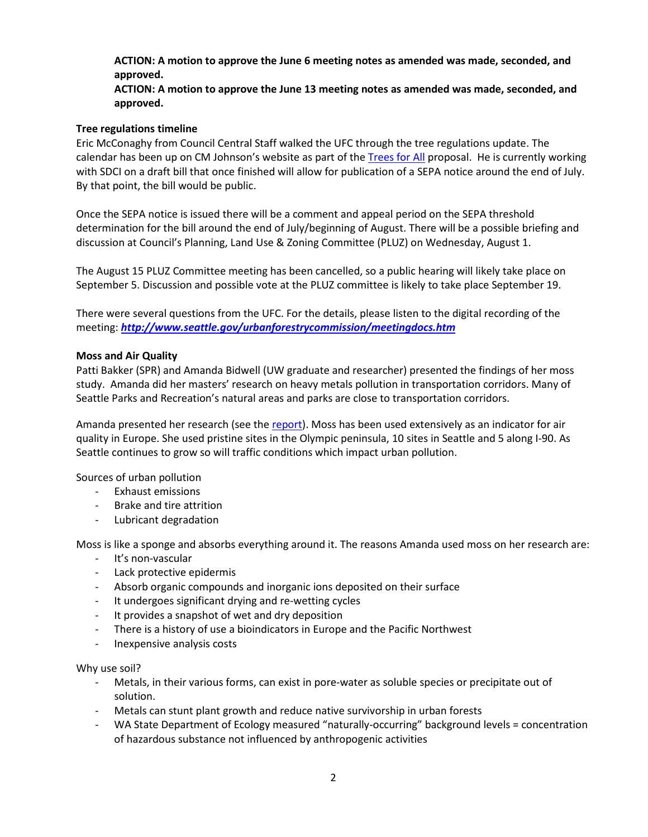## **ACTION: A motion to approve the June 6 meeting notes as amended was made, seconded, and approved.**

**ACTION: A motion to approve the June 13 meeting notes as amended was made, seconded, and approved.**

## **Tree regulations timeline**

Eric McConaghy from Council Central Staff walked the UFC through the tree regulations update. The calendar has been up on CM Johnson's website as part of the [Trees for All](http://www.seattle.gov/council/meet-the-council/rob-johnson/trees-for-all) proposal. He is currently working with SDCI on a draft bill that once finished will allow for publication of a SEPA notice around the end of July. By that point, the bill would be public.

Once the SEPA notice is issued there will be a comment and appeal period on the SEPA threshold determination for the bill around the end of July/beginning of August. There will be a possible briefing and discussion at Council's Planning, Land Use & Zoning Committee (PLUZ) on Wednesday, August 1.

The August 15 PLUZ Committee meeting has been cancelled, so a public hearing will likely take place on September 5. Discussion and possible vote at the PLUZ committee is likely to take place September 19.

There were several questions from the UFC. For the details, please listen to the digital recording of the meeting: *<http://www.seattle.gov/urbanforestrycommission/meetingdocs.htm>*

## **Moss and Air Quality**

Patti Bakker (SPR) and Amanda Bidwell (UW graduate and researcher) presented the findings of her moss study. Amanda did her masters' research on heavy metals pollution in transportation corridors. Many of Seattle Parks and Recreation's natural areas and parks are close to transportation corridors.

Amanda presented her research (see the [report\)](http://www.seattle.gov/Documents/Departments/UrbanForestryCommission/2018/2018docs/MossSoilMonitoring_GSP_Report-reduced.pdf). Moss has been used extensively as an indicator for air quality in Europe. She used pristine sites in the Olympic peninsula, 10 sites in Seattle and 5 along I-90. As Seattle continues to grow so will traffic conditions which impact urban pollution.

Sources of urban pollution

- Exhaust emissions
- Brake and tire attrition
- Lubricant degradation

Moss is like a sponge and absorbs everything around it. The reasons Amanda used moss on her research are:

- It's non-vascular
- Lack protective epidermis
- Absorb organic compounds and inorganic ions deposited on their surface
- It undergoes significant drying and re-wetting cycles
- It provides a snapshot of wet and dry deposition
- There is a history of use a bioindicators in Europe and the Pacific Northwest
- Inexpensive analysis costs

Why use soil?

- Metals, in their various forms, can exist in pore-water as soluble species or precipitate out of solution.
- Metals can stunt plant growth and reduce native survivorship in urban forests
- WA State Department of Ecology measured "naturally-occurring" background levels = concentration of hazardous substance not influenced by anthropogenic activities